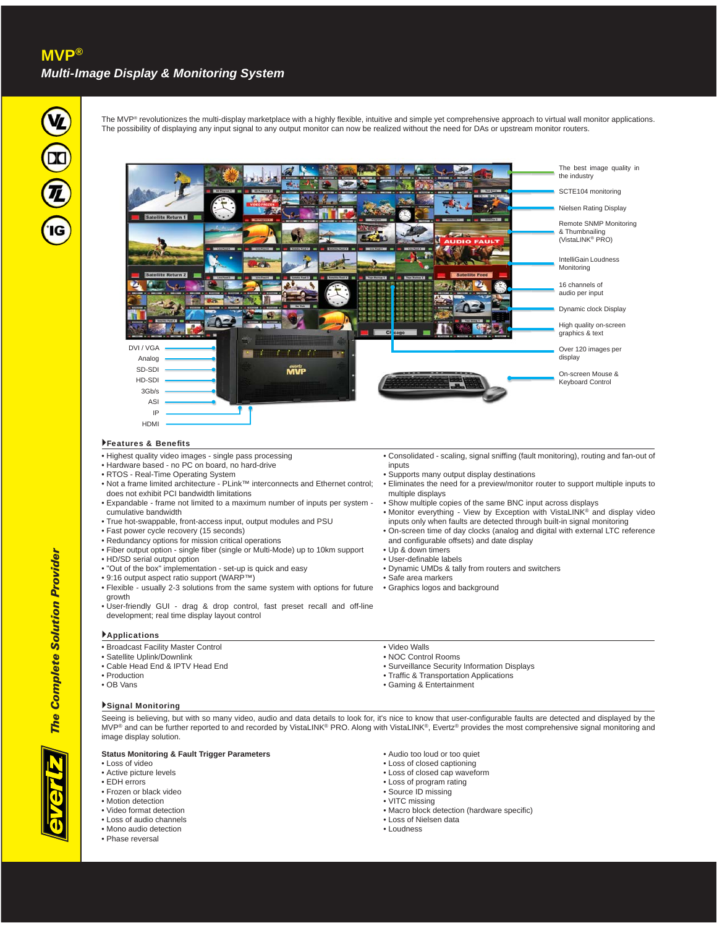

The MVP® revolutionizes the multi-display marketplace with a highly flexible, intuitive and simple yet comprehensive approach to virtual wall monitor applications. The possibility of displaying any input signal to any output monitor can now be realized without the need for DAs or upstream monitor routers.



#### Features & Benefits

- Highest quality video images single pass processing
- Hardware based no PC on board, no hard-drive
- RTOS Real-Time Operating System
- Not a frame limited architecture PLink™ interconnects and Ethernet control; does not exhibit PCI bandwidth limitations
- Expandable frame not limited to a maximum number of inputs per system cumulative bandwidth
- True hot-swappable, front-access input, output modules and PSU
- Fast power cycle recovery (15 seconds)
- Redundancy options for mission critical operations
- Fiber output option single fiber (single or Multi-Mode) up to 10km support
- HD/SD serial output option
- "Out of the box" implementation set-up is quick and easy
- 9:16 output aspect ratio support (WARP™)
- Flexible usually 2-3 solutions from the same system with options for future growth • User-friendly GUI - drag & drop control, fast preset recall and off-line
- development; real time display layout control

#### Applications

- Broadcast Facility Master Control
- Satellite Uplink/Downlink
- Cable Head End & IPTV Head End
- Production
- OB Vans

#### Signal Monitoring

Seeing is believing, but with so many video, audio and data details to look for, it's nice to know that user-configurable faults are detected and displayed by the MVP<sup>®</sup> and can be further reported to and recorded by VistaLINK® PRO. Along with VistaLINK®, Evertz® provides the most comprehensive signal monitoring and image display solution.

#### **Status Monitoring & Fault Trigger Parameters**

- Loss of video
- Active picture levels
- EDH errors
- Frozen or black video
- Motion detection
- Video format detection
- Loss of audio channels • Mono audio detection
- Phase reversal
- 
- Audio too loud or too quiet • Loss of closed captioning
- Loss of closed cap waveform
- Loss of program rating
- Source ID missing
- 
- VITC missing • Macro block detection (hardware specific)
- Loss of Nielsen data
- Loudness
- 
- Consolidated scaling, signal sniffing (fault monitoring), routing and fan-out of inputs • Supports many output display destinations
- Eliminates the need for a preview/monitor router to support multiple inputs to multiple displays
- Show multiple copies of the same BNC input across displays
- Monitor everything View by Exception with VistaLINK® and display video
- inputs only when faults are detected through built-in signal monitoring • On-screen time of day clocks (analog and digital with external LTC reference
- and configurable offsets) and date display
- Up & down timers
- User-definable labels
- Dynamic UMDs & tally from routers and switchers
- Safe area markers
- Graphics logos and background
- Video Walls
	- NOC Control Rooms
	- Surveillance Security Information Displays
	- Traffic & Transportation Applications
	- Gaming & Entertainment



*The Complete Solution Provider*

**The Complete Solution Provider**